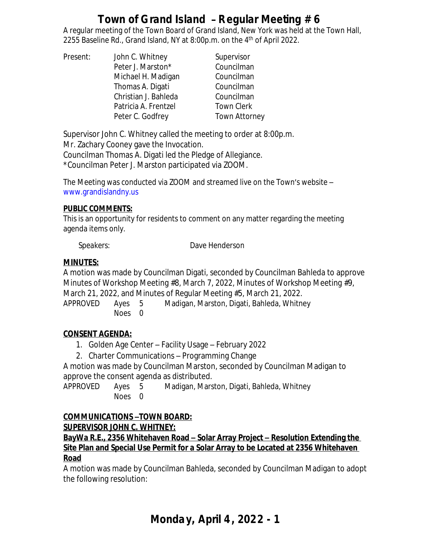A regular meeting of the Town Board of Grand Island, New York was held at the Town Hall, 2255 Baseline Rd., Grand Island, NY at 8:00p.m. on the 4<sup>th</sup> of April 2022.

| Present: | John C. Whitney      | Supervisor           |
|----------|----------------------|----------------------|
|          | Peter J. Marston*    | Councilman           |
|          | Michael H. Madigan   | Councilman           |
|          | Thomas A. Digati     | Councilman           |
|          | Christian J. Bahleda | Councilman           |
|          | Patricia A. Frentzel | <b>Town Clerk</b>    |
|          | Peter C. Godfrey     | <b>Town Attorney</b> |

Supervisor John C. Whitney called the meeting to order at 8:00p.m.

Mr. Zachary Cooney gave the Invocation.

Councilman Thomas A. Digati led the Pledge of Allegiance. \*Councilman Peter J. Marston participated via ZOOM.

The Meeting was conducted via ZOOM and streamed live on the Town's website – [www.grandislandny.us](http://www.grandislandny.us)

### **PUBLIC COMMENTS:**

This is an opportunity for residents to comment on any matter regarding the meeting agenda items only.

*Speakers:* Dave Henderson

# **MINUTES:**

A motion was made by Councilman Digati, seconded by Councilman Bahleda to approve Minutes of Workshop Meeting #8, March 7, 2022, Minutes of Workshop Meeting #9, March 21, 2022, and Minutes of Regular Meeting #5, March 21, 2022. APPROVED Ayes 5 Madigan, Marston, Digati, Bahleda, Whitney

Noes 0

# **CONSENT AGENDA:**

- 1. Golden Age Center Facility Usage February 2022
- 2. Charter Communications Programming Change

A motion was made by Councilman Marston, seconded by Councilman Madigan to approve the consent agenda as distributed.

APPROVED Ayes 5 Madigan, Marston, Digati, Bahleda, Whitney Noes 0

# **COMMUNICATIONS –TOWN BOARD: SUPERVISOR JOHN C. WHITNEY:**

**BayWa R.E., 2356 Whitehaven Road – Solar Array Project – Resolution Extending the Site Plan and Special Use Permit for a Solar Array to be Located at 2356 Whitehaven Road**

A motion was made by Councilman Bahleda, seconded by Councilman Madigan to adopt the following resolution: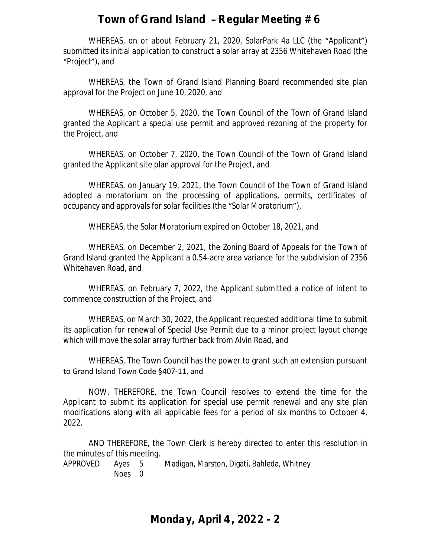WHEREAS, on or about February 21, 2020, SolarPark 4a LLC (the "Applicant") submitted its initial application to construct a solar array at 2356 Whitehaven Road (the "Project"), and

WHEREAS, the Town of Grand Island Planning Board recommended site plan approval for the Project on June 10, 2020, and

WHEREAS, on October 5, 2020, the Town Council of the Town of Grand Island granted the Applicant a special use permit and approved rezoning of the property for the Project, and

WHEREAS, on October 7, 2020, the Town Council of the Town of Grand Island granted the Applicant site plan approval for the Project, and

WHEREAS, on January 19, 2021, the Town Council of the Town of Grand Island adopted a moratorium on the processing of applications, permits, certificates of occupancy and approvals for solar facilities (the "Solar Moratorium"),

WHEREAS, the Solar Moratorium expired on October 18, 2021, and

WHEREAS, on December 2, 2021, the Zoning Board of Appeals for the Town of Grand Island granted the Applicant a 0.54-acre area variance for the subdivision of 2356 Whitehaven Road, and

WHEREAS, on February 7, 2022, the Applicant submitted a notice of intent to commence construction of the Project, and

WHEREAS, on March 30, 2022, the Applicant requested additional time to submit its application for renewal of Special Use Permit due to a minor project layout change which will move the solar array further back from Alvin Road, and

WHEREAS, The Town Council has the power to grant such an extension pursuant to Grand Island Town Code §407-11, and

NOW, THEREFORE, the Town Council resolves to extend the time for the Applicant to submit its application for special use permit renewal and any site plan modifications along with all applicable fees for a period of six months to October 4, 2022.

AND THEREFORE, the Town Clerk is hereby directed to enter this resolution in the minutes of this meeting.

APPROVED Ayes 5 Madigan, Marston, Digati, Bahleda, Whitney Noes 0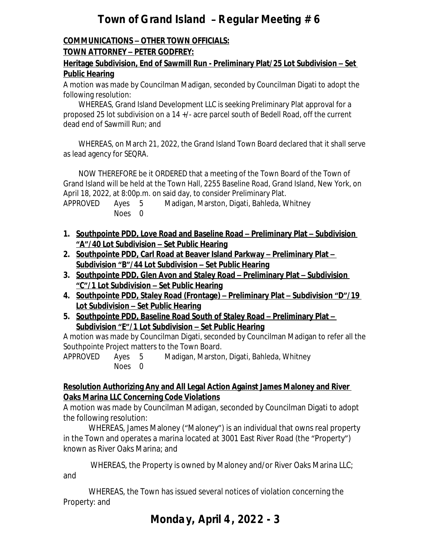# **COMMUNICATIONS – OTHER TOWN OFFICIALS:**

## **TOWN ATTORNEY – PETER GODFREY:**

### **Heritage Subdivision, End of Sawmill Run - Preliminary Plat/25 Lot Subdivision – Set Public Hearing**

A motion was made by Councilman Madigan, seconded by Councilman Digati to adopt the following resolution:

WHEREAS, Grand Island Development LLC is seeking Preliminary Plat approval for a proposed 25 lot subdivision on a 14 +/- acre parcel south of Bedell Road, off the current dead end of Sawmill Run; and

WHEREAS, on March 21, 2022, the Grand Island Town Board declared that it shall serve as lead agency for SEQRA.

NOW THEREFORE be it ORDERED that a meeting of the Town Board of the Town of Grand Island will be held at the Town Hall, 2255 Baseline Road, Grand Island, New York, on April 18, 2022, at 8:00p.m. on said day, to consider Preliminary Plat.

APPROVED Ayes 5 Madigan, Marston, Digati, Bahleda, Whitney Noes 0

- **1. Southpointe PDD, Love Road and Baseline Road – Preliminary Plat – Subdivision "A"/40 Lot Subdivision – Set Public Hearing**
- **2.** Southpointe PDD, Carl Road at Beaver Island Parkway Preliminary Plat **Subdivision "B"/44 Lot Subdivision – Set Public Hearing**
- **3. Southpointe PDD, Glen Avon and Staley Road – Preliminary Plat – Subdivision "C"/1 Lot Subdivision – Set Public Hearing**
- **4. Southpointe PDD, Staley Road (Frontage) – Preliminary Plat – Subdivision "D"/19 Lot Subdivision – Set Public Hearing**
- **5.** Southpointe PDD, Baseline Road South of Staley Road Preliminary Plat **Subdivision "E"/1 Lot Subdivision – Set Public Hearing**

A motion was made by Councilman Digati, seconded by Councilman Madigan to refer all the Southpointe Project matters to the Town Board.

APPROVED Ayes 5 Madigan, Marston, Digati, Bahleda, Whitney Noes 0

#### **Resolution Authorizing Any and All Legal Action Against James Maloney and River Oaks Marina LLC Concerning Code Violations**

A motion was made by Councilman Madigan, seconded by Councilman Digati to adopt the following resolution:

WHEREAS, James Maloney ("Maloney") is an individual that owns real property in the Town and operates a marina located at 3001 East River Road (the "Property") known as River Oaks Marina; and

WHEREAS, the Property is owned by Maloney and/or River Oaks Marina LLC;

and

WHEREAS, the Town has issued several notices of violation concerning the Property: and

# **Monday, April 4, 2022 - 3**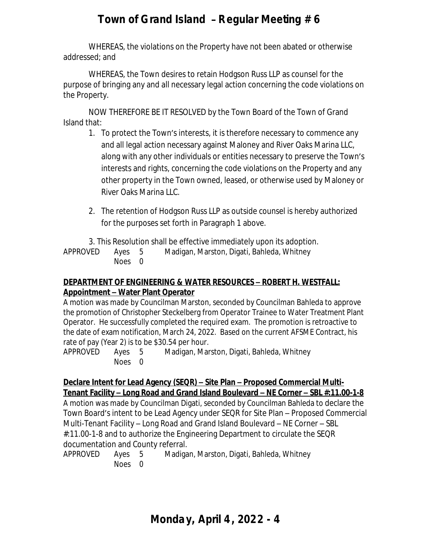WHEREAS, the violations on the Property have not been abated or otherwise addressed; and

WHEREAS, the Town desires to retain Hodgson Russ LLP as counsel for the purpose of bringing any and all necessary legal action concerning the code violations on the Property.

NOW THEREFORE BE IT RESOLVED by the Town Board of the Town of Grand Island that:

- 1. To protect the Town's interests, it is therefore necessary to commence any and all legal action necessary against Maloney and River Oaks Marina LLC, along with any other individuals or entities necessary to preserve the Town's interests and rights, concerning the code violations on the Property and any other property in the Town owned, leased, or otherwise used by Maloney or River Oaks Marina LLC.
- 2. The retention of Hodgson Russ LLP as outside counsel is hereby authorized for the purposes set forth in Paragraph 1 above.

3. This Resolution shall be effective immediately upon its adoption.

APPROVED Ayes 5 Madigan, Marston, Digati, Bahleda, Whitney Noes 0

# **DEPARTMENT OF ENGINEERING & WATER RESOURCES – ROBERT H. WESTFALL: Appointment – Water Plant Operator**

A motion was made by Councilman Marston, seconded by Councilman Bahleda to approve the promotion of Christopher Steckelberg from Operator Trainee to Water Treatment Plant Operator. He successfully completed the required exam. The promotion is retroactive to the date of exam notification, March 24, 2022. Based on the current AFSME Contract, his rate of pay (Year 2) is to be \$30.54 per hour.

APPROVED Ayes 5 Madigan, Marston, Digati, Bahleda, Whitney Noes 0

**Declare Intent for Lead Agency (SEQR) – Site Plan – Proposed Commercial Multi-Tenant Facility – Long Road and Grand Island Boulevard – NE Corner – SBL #:11.00-1-8**

A motion was made by Councilman Digati, seconded by Councilman Bahleda to declare the Town Board's intent to be Lead Agency under SEQR for Site Plan – Proposed Commercial Multi-Tenant Facility – Long Road and Grand Island Boulevard – NE Corner – SBL #:11.00-1-8 and to authorize the Engineering Department to circulate the SEQR documentation and County referral.

APPROVED Ayes 5 Madigan, Marston, Digati, Bahleda, Whitney Noes 0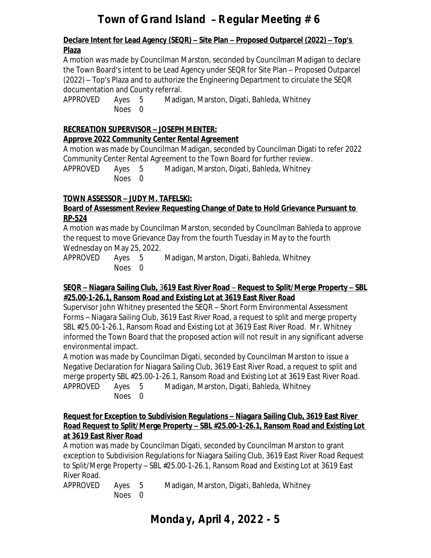#### **Declare Intent for Lead Agency (SEQR) – Site Plan – Proposed Outparcel (2022) – Top's Plaza**

A motion was made by Councilman Marston, seconded by Councilman Madigan to declare the Town Board's intent to be Lead Agency under SEQR for Site Plan – Proposed Outparcel (2022) – Top's Plaza and to authorize the Engineering Department to circulate the SEQR documentation and County referral.

APPROVED Ayes 5 Madigan, Marston, Digati, Bahleda, Whitney Noes 0

#### **RECREATION SUPERVISOR – JOSEPH MENTER:**

### **Approve 2022 Community Center Rental Agreement**

A motion was made by Councilman Madigan, seconded by Councilman Digati to refer 2022 Community Center Rental Agreement to the Town Board for further review.

APPROVED Ayes 5 Madigan, Marston, Digati, Bahleda, Whitney Noes 0

### **TOWN ASSESSOR – JUDY M. TAFELSKI:**

#### **Board of Assessment Review Requesting Change of Date to Hold Grievance Pursuant to RP-524**

A motion was made by Councilman Marston, seconded by Councilman Bahleda to approve the request to move Grievance Day from the fourth Tuesday in May to the fourth Wednesday on May 25, 2022.

APPROVED Ayes 5 Madigan, Marston, Digati, Bahleda, Whitney Noes 0

#### **SEQR – Niagara Sailing Club,** 3**619 East River Road** – **Request to Split/Merge Property – SBL #25.00-1-26.1, Ransom Road and Existing Lot at 3619 East River Road**

Supervisor John Whitney presented the SEQR – Short Form Environmental Assessment Forms – Niagara Sailing Club, 3619 East River Road, a request to split and merge property SBL #25.00-1-26.1, Ransom Road and Existing Lot at 3619 East River Road. Mr. Whitney informed the Town Board that the proposed action will not result in any significant adverse environmental impact.

A motion was made by Councilman Digati, seconded by Councilman Marston to issue a Negative Declaration for Niagara Sailing Club, 3619 East River Road, a request to split and merge property SBL #25.00-1-26.1, Ransom Road and Existing Lot at 3619 East River Road. APPROVED Ayes 5 Madigan, Marston, Digati, Bahleda, Whitney

Noes 0

#### **Request for Exception to Subdivision Regulations – Niagara Sailing Club, 3619 East River Road Request to Split/Merge Property – SBL #25.00-1-26.1, Ransom Road and Existing Lot at 3619 East River Road**

A motion was made by Councilman Digati, seconded by Councilman Marston to grant exception to Subdivision Regulations for Niagara Sailing Club, 3619 East River Road Request to Split/Merge Property – SBL #25.00-1-26.1, Ransom Road and Existing Lot at 3619 East River Road.

| approved | Ayes 5 | Madigan, Marston, Digati, Bahleda, Whitney |
|----------|--------|--------------------------------------------|
|          | Noes 0 |                                            |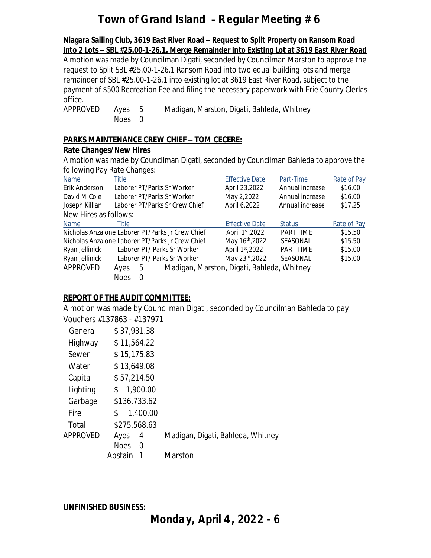**Niagara Sailing Club, 3619 East River Road – Request to Split Property on Ransom Road into 2 Lots – SBL #25.00-1-26.1, Merge Remainder into Existing Lot at 3619 East River Road** A motion was made by Councilman Digati, seconded by Councilman Marston to approve the request to Split SBL #25.00-1-26.1 Ransom Road into two equal building lots and merge remainder of SBL #25.00-1-26.1 into existing lot at 3619 East River Road, subject to the payment of \$500 Recreation Fee and filing the necessary paperwork with Erie County Clerk's office. APPROVED Ayes 5 Madigan, Marston, Digati, Bahleda, Whitney

**PARKS MAINTENANCE CREW CHIEF – TOM CECERE:**

Noes 0

#### **Rate Changes/New Hires**

A motion was made by Councilman Digati, seconded by Councilman Bahleda to approve the following Pay Rate Changes:

| Name                                             | Title       |          |                                | <b>Effective Date</b>                      | Part-Time       | Rate of Pay |
|--------------------------------------------------|-------------|----------|--------------------------------|--------------------------------------------|-----------------|-------------|
| Erik Anderson                                    |             |          | Laborer PT/Parks Sr Worker     | April 23,2022                              | Annual increase | \$16.00     |
| David M Cole                                     |             |          | Laborer PT/Parks Sr Worker     | May 2,2022                                 | Annual increase | \$16.00     |
| Joseph Killian                                   |             |          | Laborer PT/Parks Sr Crew Chief | April 6,2022                               | Annual increase | \$17.25     |
| New Hires as follows:                            |             |          |                                |                                            |                 |             |
| <b>Name</b>                                      | Title       |          |                                | <b>Effective Date</b>                      | <b>Status</b>   | Rate of Pay |
| Nicholas Anzalone Laborer PT/Parks Jr Crew Chief |             |          |                                | April 1st, 2022                            | PART TIME       | \$15.50     |
| Nicholas Anzalone Laborer PT/Parks Jr Crew Chief |             |          |                                | May 16 <sup>th</sup> , 2022                | SEASONAL        | \$15.50     |
| Ryan Jellinick                                   |             |          | Laborer PT/ Parks Sr Worker    | April 1st, 2022                            | PART TIME       | \$15.00     |
| Ryan Jellinick                                   |             |          | Laborer PT/ Parks Sr Worker    | May 23rd, 2022                             | SEASONAL        | \$15.00     |
| APPROVED                                         | Ayes        | 5        |                                | Madigan, Marston, Digati, Bahleda, Whitney |                 |             |
|                                                  | <b>Noes</b> | $\Omega$ |                                |                                            |                 |             |

### **REPORT OF THE AUDIT COMMITTEE:**

A motion was made by Councilman Digati, seconded by Councilman Bahleda to pay Vouchers #137863 - #137971

| General  | \$37,931.38             |                                   |
|----------|-------------------------|-----------------------------------|
| Highway  | \$11,564.22             |                                   |
| Sewer    | \$15,175.83             |                                   |
| Water    | \$13,649.08             |                                   |
| Capital  | \$57,214.50             |                                   |
| Lighting | 1,900.00<br>\$          |                                   |
| Garbage  | \$136,733.62            |                                   |
| Fire     | 1,400.00<br>\$.         |                                   |
| Total    | \$275,568.63            |                                   |
| APPROVED | Ayes<br>4               | Madigan, Digati, Bahleda, Whitney |
|          | <b>Noes</b><br>$\Omega$ |                                   |
|          | Abstain                 | Marston                           |

**UNFINISHED BUSINESS:**